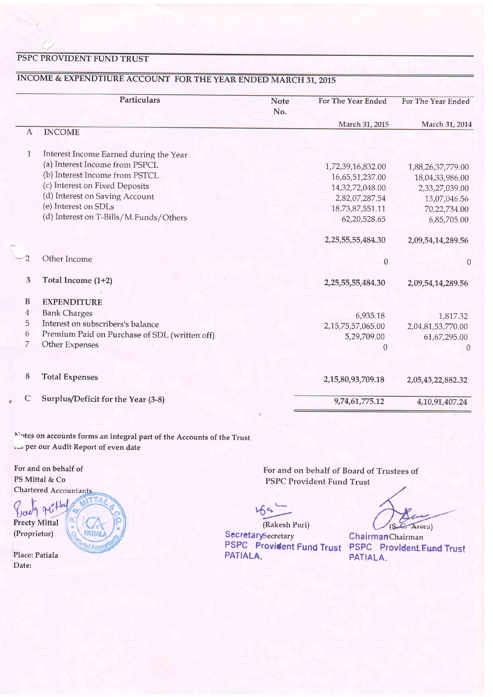## PSPC PROVIDENT FUND TRUST

# INCOME & EXPENDTIURE ACCOUNT FOR THE YEAR ENDED MARCH 31, 2015

|              | Particulars                                   | <b>Note</b> | For The Year Ended     | For The Year Ended |
|--------------|-----------------------------------------------|-------------|------------------------|--------------------|
|              |                                               | No.         | March 31, 2015         | March 31, 2014     |
| A            | <b>INCOME</b>                                 |             |                        |                    |
| $\mathbf{1}$ | Interest Income Earned during the Year        |             |                        |                    |
|              | (a) Interest Income from PSPCL                |             | 1,72,39,16,832.00      | 1,88,26,37,779.00  |
|              | (b) Interest Income from PSTCL                |             | 16,65,51,237.00        | 18,04,33,986.00    |
|              | (c) Interest on Fixed Deposits                |             | 14,32,72,048.00        | 2,33,27,039.00     |
|              | (d) Interest on Saving Account                |             | 2,82,07,287.54         | 13,07,046.56       |
|              | (e) Interest on SDLs                          |             | 18,73,87,551.11        | 70,22,734.00       |
|              | (d) Interest on T-Bills/M.Funds/Others        |             | 62,20,528.65           | 6,85,705.00        |
|              |                                               |             | 2,25,55,55,484.30      | 2,09,54,14,289.56  |
|              | Other Income                                  |             | $\boldsymbol{0}$       | $\theta$           |
| 3            | Total Income (1+2)                            |             | 2, 25, 55, 55, 484. 30 | 2,09,54,14,289.56  |
| B            | <b>EXPENDITURE</b>                            |             |                        |                    |
| 4            | <b>Bank Charges</b>                           |             | 6,935.18               | 1,817.32           |
| 5            | Interest on subscribers's balance             |             | 2, 15, 75, 57, 065.00  | 2,04,81,53,770.00  |
| 6            | Premium Paid on Purchase of SDL (written off) |             | 5,29,709.00            | 61,67,295.00       |
| 7            | Other Expenses                                |             | $\theta$               | ∩                  |
| 8            | <b>Total Expenses</b>                         |             | 2,15,80,93,709.18      | 2,05,43,22,882.32  |
| C            | Surplus/Deficit for the Year (3-8)            |             | 9,74,61,775.12         | 4,10,91,407.24     |

 $\rm\thinspace N\rm\thinspace$  des on accounts forms an integral part of the Accounts of the Trust »,<br />> per our Audit Report of even date

For and on behalf of PS Mittal & Co **Chartered Accountants** 

Preety Mittal (Proprietor)

Place: Patiala Date:

 $f_1$  and  $f_2$  and  $f_3$  and  $f_4$  and  $f_5$  and  $f_6$  and  $f_7$ PATIO

For and on behalf of Board of Trustees of PSPC Provident Fund Trust

 $\Lambda$ C. Arora)

(Rakesh Puri) SecretarySecretary PATIALA.

PSPC Provident Fund Trust PSPC Provident Fund Trust PATIALA. ChairmanChairman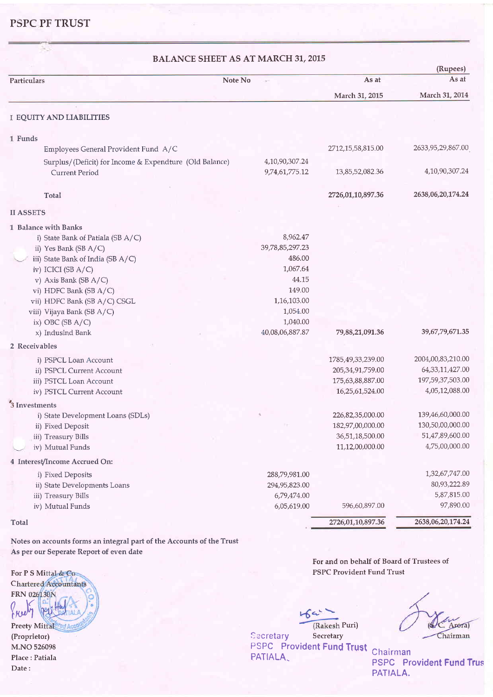## PSPC PF TRUST

| <b>BALANCE SHEET AS AT MARCH 31, 2015</b>               |                 |                     |                      |  |  |  |
|---------------------------------------------------------|-----------------|---------------------|----------------------|--|--|--|
| Note No<br>Particulars                                  | p.              | As at               | (Rupees)<br>As at    |  |  |  |
|                                                         |                 | March 31, 2015      | March 31, 2014       |  |  |  |
|                                                         |                 |                     |                      |  |  |  |
| <b>I EQUITY AND LIABILITIES</b>                         |                 |                     |                      |  |  |  |
| 1 Funds                                                 |                 |                     |                      |  |  |  |
| Employees General Provident Fund A/C                    |                 | 2712,15,58,815.00   | 2633, 95, 29, 867.00 |  |  |  |
| Surplus/(Deficit) for Income & Expendture (Old Balance) | 4,10,90,307.24  |                     |                      |  |  |  |
| <b>Current Period</b>                                   | 9,74,61,775.12  | 13,85,52,082.36     | 4,10,90,307.24       |  |  |  |
| Total                                                   |                 | 2726,01,10,897.36   | 2638,06,20,174.24    |  |  |  |
| <b>II ASSETS</b>                                        |                 |                     |                      |  |  |  |
| 1 Balance with Banks                                    |                 |                     |                      |  |  |  |
| i) State Bank of Patiala (SB A/C)                       | 8,962.47        |                     |                      |  |  |  |
| ii) Yes Bank (SB A/C)                                   | 39,78,85,297.23 |                     |                      |  |  |  |
| iii) State Bank of India (SB A/C)                       | 486.00          |                     |                      |  |  |  |
| iv) ICICI (SB A/C)                                      | 1,067.64        |                     |                      |  |  |  |
| v) Axis Bank (SB A/C)                                   | 44.15           |                     |                      |  |  |  |
| vi) HDFC Bank (SB A/C)                                  | 149.00          |                     |                      |  |  |  |
| vii) HDFC Bank (SB A/C) CSGL                            | 1,16,103.00     |                     |                      |  |  |  |
| viii) Vijaya Bank (SB A/C)                              | 1,054.00        |                     |                      |  |  |  |
| ix) OBC (SB $A/C$ )                                     | 1,040.00        |                     |                      |  |  |  |
| x) IndusInd Bank                                        | 40,08,06,887.87 | 79,88,21,091.36     | 39,67,79,671.35      |  |  |  |
| 2 Receivables                                           |                 |                     |                      |  |  |  |
| i) PSPCL Loan Account                                   |                 | 1785,49,33,239.00   | 2004,00,83,210.00    |  |  |  |
| ii) PSPCL Current Account                               |                 | 205, 34, 91, 759.00 | 64, 33, 11, 427.00   |  |  |  |
| iii) PSTCL Loan Account                                 |                 | 175,63,88,887.00    | 197,59,37,503.00     |  |  |  |
| iv) PSTCL Current Account                               |                 | 16,25,61,524.00     | 4,05,12,088.00       |  |  |  |
| 3 Investments                                           |                 |                     |                      |  |  |  |
| i) State Development Loans (SDLs)                       |                 | 226,82,35,000.00    | 139,46,60,000.00     |  |  |  |
| ii) Fixed Deposit                                       |                 | 182,97,00,000.00    | 130,50,00,000.00     |  |  |  |
| iii) Treasury Bills                                     |                 | 36,51,18,500.00     | 51,47,89,600.00      |  |  |  |
| iv) Mutual Funds                                        |                 | 11,12,00,000.00     | 4,75,00,000.00       |  |  |  |
| 4 Interest/Income Accrued On:                           |                 |                     |                      |  |  |  |
| i) Fixed Deposits                                       | 288,79,981.00   |                     | 1,32,67,747.00       |  |  |  |
| ii) State Developments Loans                            | 294,95,823.00   |                     | 80,93,222.89         |  |  |  |
| iii) Treasury Bills                                     | 6,79,474.00     |                     | 5,87,815.00          |  |  |  |
| iv) Mutual Funds                                        | 6,05,619.00     | 596,60,897.00       | 97,890.00            |  |  |  |
| Total                                                   |                 | 2726,01,10,897.36   | 2638,06,20,174.24    |  |  |  |

Notes on accounts forms an integral part of the Accounts of the Trust As per our Seperate Report of even date

For P S Mittal & Co. Chartered Accountants FRN 026130N  $\%$ 

Preety Mittal<sup>ered</sup> A (Proprietor) M.NO 526098 Place : Patiala Date:

For and on behalf of Board of Trustees of PSPC Provident Fund Trust

 $464$ (Rakesh Puri)

Secretary Secretary PSPC Provident Fund Trust PATIALA<sub>-</sub> PATIALA<sub>-</sub> Chairman

Arera) Chairman

PSPC Provident Fund Trus PATIALA.